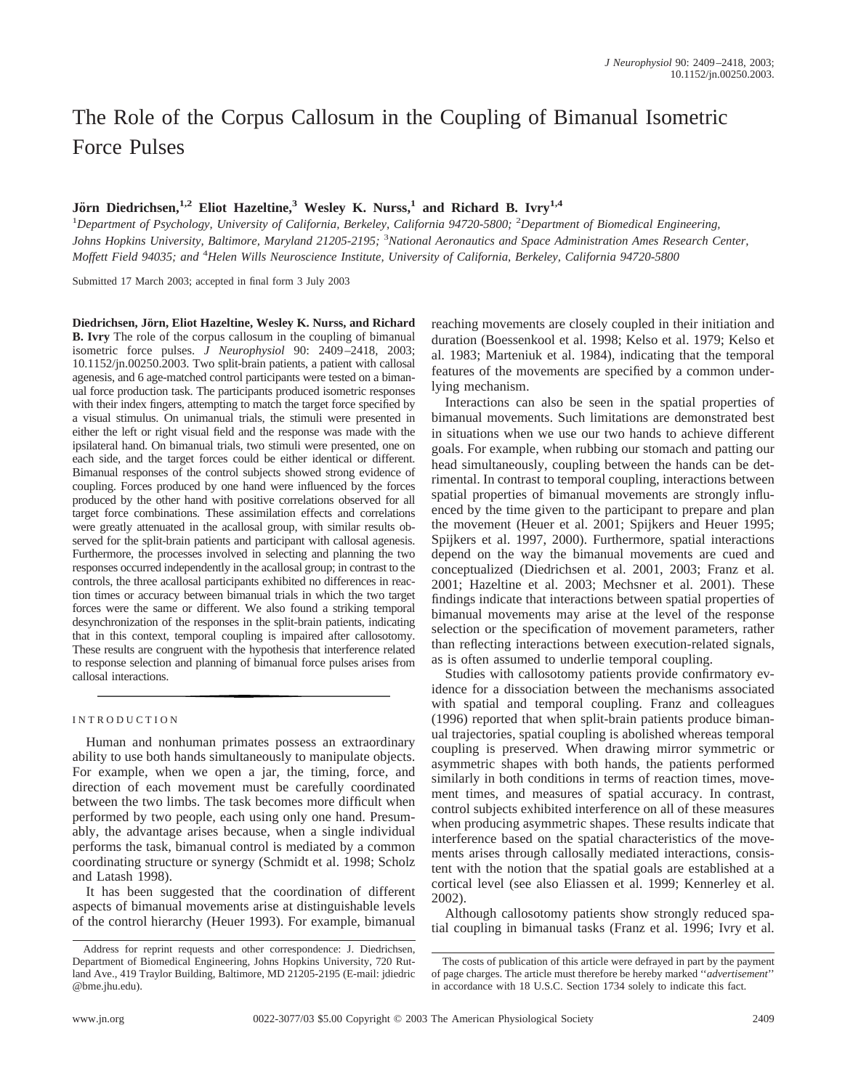## The Role of the Corpus Callosum in the Coupling of Bimanual Isometric Force Pulses

## **Jörn Diedrichsen,** <sup>1,2</sup> **Eliot Hazeltine**, <sup>3</sup> Wesley K. Nurss, <sup>1</sup> and Richard B. Ivry<sup>1,4</sup>

1 *Department of Psychology, University of California, Berkeley, California 94720-5800;* <sup>2</sup> *Department of Biomedical Engineering, Johns Hopkins University, Baltimore, Maryland 21205-2195;* <sup>3</sup> *National Aeronautics and Space Administration Ames Research Center, Moffett Field 94035; and* <sup>4</sup> *Helen Wills Neuroscience Institute, University of California, Berkeley, California 94720-5800*

Submitted 17 March 2003; accepted in final form 3 July 2003

**Diedrichsen, Jo¨rn, Eliot Hazeltine, Wesley K. Nurss, and Richard B. Ivry** The role of the corpus callosum in the coupling of bimanual isometric force pulses. *J Neurophysiol* 90: 2409–2418, 2003; 10.1152/jn.00250.2003. Two split-brain patients, a patient with callosal agenesis, and 6 age-matched control participants were tested on a bimanual force production task. The participants produced isometric responses with their index fingers, attempting to match the target force specified by a visual stimulus. On unimanual trials, the stimuli were presented in either the left or right visual field and the response was made with the ipsilateral hand. On bimanual trials, two stimuli were presented, one on each side, and the target forces could be either identical or different. Bimanual responses of the control subjects showed strong evidence of coupling. Forces produced by one hand were influenced by the forces produced by the other hand with positive correlations observed for all target force combinations. These assimilation effects and correlations were greatly attenuated in the acallosal group, with similar results observed for the split-brain patients and participant with callosal agenesis. Furthermore, the processes involved in selecting and planning the two responses occurred independently in the acallosal group; in contrast to the controls, the three acallosal participants exhibited no differences in reaction times or accuracy between bimanual trials in which the two target forces were the same or different. We also found a striking temporal desynchronization of the responses in the split-brain patients, indicating that in this context, temporal coupling is impaired after callosotomy. These results are congruent with the hypothesis that interference related to response selection and planning of bimanual force pulses arises from callosal interactions.

#### INTRODUCTION

Human and nonhuman primates possess an extraordinary ability to use both hands simultaneously to manipulate objects. For example, when we open a jar, the timing, force, and direction of each movement must be carefully coordinated between the two limbs. The task becomes more difficult when performed by two people, each using only one hand. Presumably, the advantage arises because, when a single individual performs the task, bimanual control is mediated by a common coordinating structure or synergy (Schmidt et al. 1998; Scholz and Latash 1998).

It has been suggested that the coordination of different aspects of bimanual movements arise at distinguishable levels of the control hierarchy (Heuer 1993). For example, bimanual reaching movements are closely coupled in their initiation and duration (Boessenkool et al. 1998; Kelso et al. 1979; Kelso et al. 1983; Marteniuk et al. 1984), indicating that the temporal features of the movements are specified by a common underlying mechanism.

Interactions can also be seen in the spatial properties of bimanual movements. Such limitations are demonstrated best in situations when we use our two hands to achieve different goals. For example, when rubbing our stomach and patting our head simultaneously, coupling between the hands can be detrimental. In contrast to temporal coupling, interactions between spatial properties of bimanual movements are strongly influenced by the time given to the participant to prepare and plan the movement (Heuer et al. 2001; Spijkers and Heuer 1995; Spijkers et al. 1997, 2000). Furthermore, spatial interactions depend on the way the bimanual movements are cued and conceptualized (Diedrichsen et al. 2001, 2003; Franz et al. 2001; Hazeltine et al. 2003; Mechsner et al. 2001). These findings indicate that interactions between spatial properties of bimanual movements may arise at the level of the response selection or the specification of movement parameters, rather than reflecting interactions between execution-related signals, as is often assumed to underlie temporal coupling.

Studies with callosotomy patients provide confirmatory evidence for a dissociation between the mechanisms associated with spatial and temporal coupling. Franz and colleagues (1996) reported that when split-brain patients produce bimanual trajectories, spatial coupling is abolished whereas temporal coupling is preserved. When drawing mirror symmetric or asymmetric shapes with both hands, the patients performed similarly in both conditions in terms of reaction times, movement times, and measures of spatial accuracy. In contrast, control subjects exhibited interference on all of these measures when producing asymmetric shapes. These results indicate that interference based on the spatial characteristics of the movements arises through callosally mediated interactions, consistent with the notion that the spatial goals are established at a cortical level (see also Eliassen et al. 1999; Kennerley et al. 2002).

Although callosotomy patients show strongly reduced spatial coupling in bimanual tasks (Franz et al. 1996; Ivry et al.

Address for reprint requests and other correspondence: J. Diedrichsen, Department of Biomedical Engineering, Johns Hopkins University, 720 Rutland Ave., 419 Traylor Building, Baltimore, MD 21205-2195 (E-mail: jdiedric @bme.jhu.edu).

The costs of publication of this article were defrayed in part by the payment of page charges. The article must therefore be hereby marked ''*advertisement*'' in accordance with 18 U.S.C. Section 1734 solely to indicate this fact.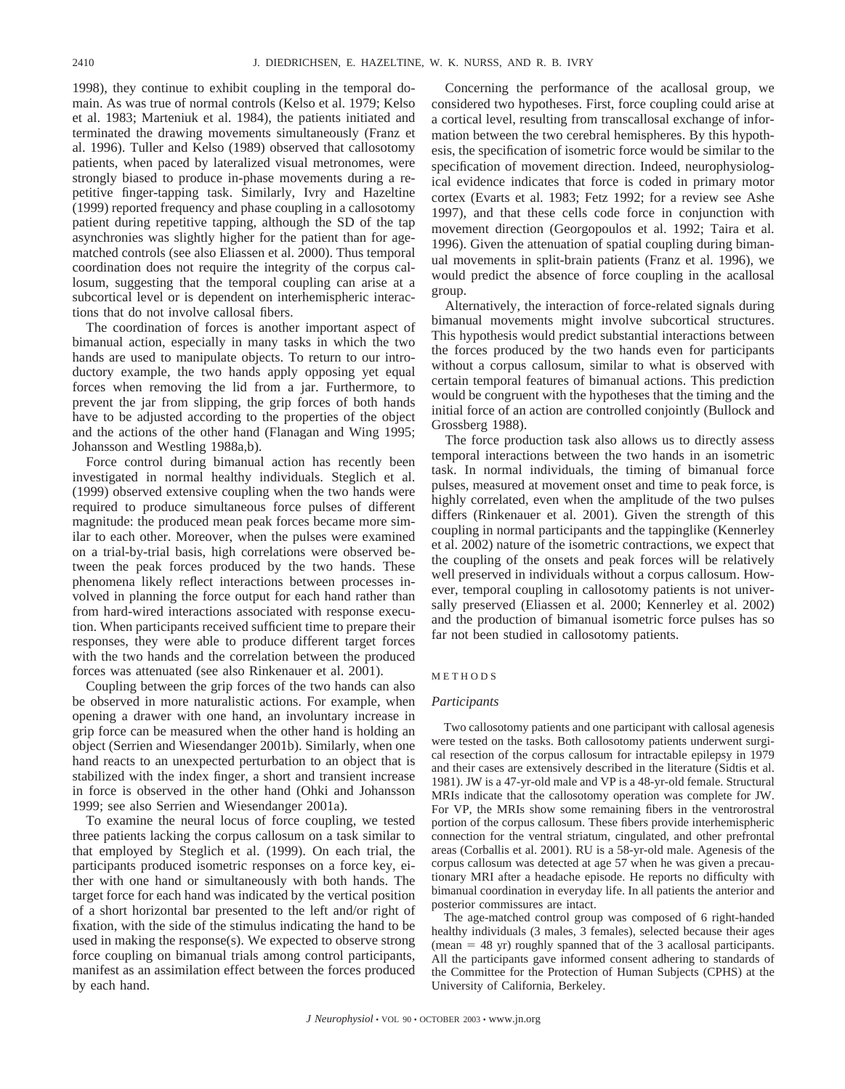1998), they continue to exhibit coupling in the temporal domain. As was true of normal controls (Kelso et al. 1979; Kelso et al. 1983; Marteniuk et al. 1984), the patients initiated and terminated the drawing movements simultaneously (Franz et al. 1996). Tuller and Kelso (1989) observed that callosotomy patients, when paced by lateralized visual metronomes, were strongly biased to produce in-phase movements during a repetitive finger-tapping task. Similarly, Ivry and Hazeltine (1999) reported frequency and phase coupling in a callosotomy patient during repetitive tapping, although the SD of the tap asynchronies was slightly higher for the patient than for agematched controls (see also Eliassen et al. 2000). Thus temporal coordination does not require the integrity of the corpus callosum, suggesting that the temporal coupling can arise at a subcortical level or is dependent on interhemispheric interactions that do not involve callosal fibers.

The coordination of forces is another important aspect of bimanual action, especially in many tasks in which the two hands are used to manipulate objects. To return to our introductory example, the two hands apply opposing yet equal forces when removing the lid from a jar. Furthermore, to prevent the jar from slipping, the grip forces of both hands have to be adjusted according to the properties of the object and the actions of the other hand (Flanagan and Wing 1995; Johansson and Westling 1988a,b).

Force control during bimanual action has recently been investigated in normal healthy individuals. Steglich et al. (1999) observed extensive coupling when the two hands were required to produce simultaneous force pulses of different magnitude: the produced mean peak forces became more similar to each other. Moreover, when the pulses were examined on a trial-by-trial basis, high correlations were observed between the peak forces produced by the two hands. These phenomena likely reflect interactions between processes involved in planning the force output for each hand rather than from hard-wired interactions associated with response execution. When participants received sufficient time to prepare their responses, they were able to produce different target forces with the two hands and the correlation between the produced forces was attenuated (see also Rinkenauer et al. 2001).

Coupling between the grip forces of the two hands can also be observed in more naturalistic actions. For example, when opening a drawer with one hand, an involuntary increase in grip force can be measured when the other hand is holding an object (Serrien and Wiesendanger 2001b). Similarly, when one hand reacts to an unexpected perturbation to an object that is stabilized with the index finger, a short and transient increase in force is observed in the other hand (Ohki and Johansson 1999; see also Serrien and Wiesendanger 2001a).

To examine the neural locus of force coupling, we tested three patients lacking the corpus callosum on a task similar to that employed by Steglich et al. (1999). On each trial, the participants produced isometric responses on a force key, either with one hand or simultaneously with both hands. The target force for each hand was indicated by the vertical position of a short horizontal bar presented to the left and/or right of fixation, with the side of the stimulus indicating the hand to be used in making the response(s). We expected to observe strong force coupling on bimanual trials among control participants, manifest as an assimilation effect between the forces produced by each hand.

Concerning the performance of the acallosal group, we considered two hypotheses. First, force coupling could arise at a cortical level, resulting from transcallosal exchange of information between the two cerebral hemispheres. By this hypothesis, the specification of isometric force would be similar to the specification of movement direction. Indeed, neurophysiological evidence indicates that force is coded in primary motor cortex (Evarts et al. 1983; Fetz 1992; for a review see Ashe 1997), and that these cells code force in conjunction with movement direction (Georgopoulos et al. 1992; Taira et al. 1996). Given the attenuation of spatial coupling during bimanual movements in split-brain patients (Franz et al. 1996), we would predict the absence of force coupling in the acallosal group.

Alternatively, the interaction of force-related signals during bimanual movements might involve subcortical structures. This hypothesis would predict substantial interactions between the forces produced by the two hands even for participants without a corpus callosum, similar to what is observed with certain temporal features of bimanual actions. This prediction would be congruent with the hypotheses that the timing and the initial force of an action are controlled conjointly (Bullock and Grossberg 1988).

The force production task also allows us to directly assess temporal interactions between the two hands in an isometric task. In normal individuals, the timing of bimanual force pulses, measured at movement onset and time to peak force, is highly correlated, even when the amplitude of the two pulses differs (Rinkenauer et al. 2001). Given the strength of this coupling in normal participants and the tappinglike (Kennerley et al. 2002) nature of the isometric contractions, we expect that the coupling of the onsets and peak forces will be relatively well preserved in individuals without a corpus callosum. However, temporal coupling in callosotomy patients is not universally preserved (Eliassen et al. 2000; Kennerley et al. 2002) and the production of bimanual isometric force pulses has so far not been studied in callosotomy patients.

#### METHODS

#### *Participants*

Two callosotomy patients and one participant with callosal agenesis were tested on the tasks. Both callosotomy patients underwent surgical resection of the corpus callosum for intractable epilepsy in 1979 and their cases are extensively described in the literature (Sidtis et al. 1981). JW is a 47-yr-old male and VP is a 48-yr-old female. Structural MRIs indicate that the callosotomy operation was complete for JW. For VP, the MRIs show some remaining fibers in the ventrorostral portion of the corpus callosum. These fibers provide interhemispheric connection for the ventral striatum, cingulated, and other prefrontal areas (Corballis et al. 2001). RU is a 58-yr-old male. Agenesis of the corpus callosum was detected at age 57 when he was given a precautionary MRI after a headache episode. He reports no difficulty with bimanual coordination in everyday life. In all patients the anterior and posterior commissures are intact.

The age-matched control group was composed of 6 right-handed healthy individuals (3 males, 3 females), selected because their ages (mean  $=$  48 yr) roughly spanned that of the 3 acallosal participants. All the participants gave informed consent adhering to standards of the Committee for the Protection of Human Subjects (CPHS) at the University of California, Berkeley.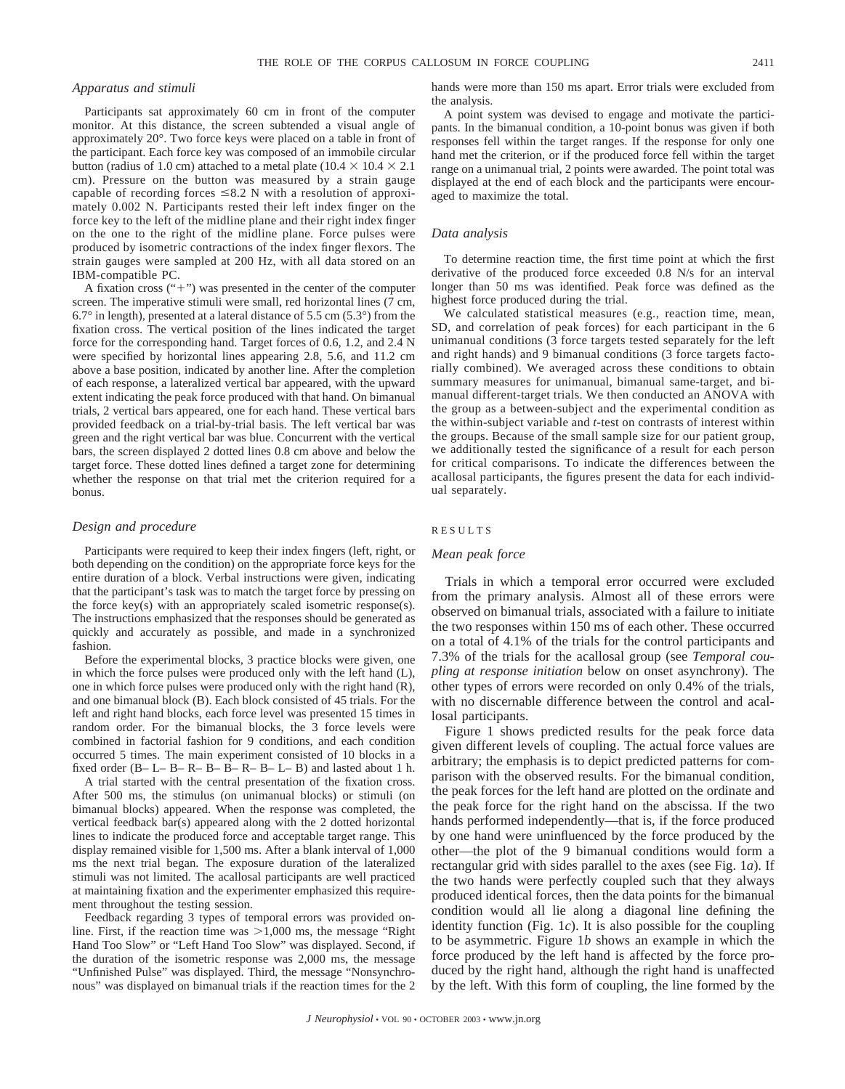## *Apparatus and stimuli*

Participants sat approximately 60 cm in front of the computer monitor. At this distance, the screen subtended a visual angle of approximately 20°. Two force keys were placed on a table in front of the participant. Each force key was composed of an immobile circular button (radius of 1.0 cm) attached to a metal plate ( $10.4 \times 10.4 \times 2.1$ cm). Pressure on the button was measured by a strain gauge capable of recording forces  $\leq 8.2$  N with a resolution of approximately 0.002 N. Participants rested their left index finger on the force key to the left of the midline plane and their right index finger on the one to the right of the midline plane. Force pulses were produced by isometric contractions of the index finger flexors. The strain gauges were sampled at 200 Hz, with all data stored on an IBM-compatible PC.

A fixation cross  $("+")$  was presented in the center of the computer screen. The imperative stimuli were small, red horizontal lines (7 cm, 6.7° in length), presented at a lateral distance of 5.5 cm (5.3°) from the fixation cross. The vertical position of the lines indicated the target force for the corresponding hand. Target forces of 0.6, 1.2, and 2.4 N were specified by horizontal lines appearing 2.8, 5.6, and 11.2 cm above a base position, indicated by another line. After the completion of each response, a lateralized vertical bar appeared, with the upward extent indicating the peak force produced with that hand. On bimanual trials, 2 vertical bars appeared, one for each hand. These vertical bars provided feedback on a trial-by-trial basis. The left vertical bar was green and the right vertical bar was blue. Concurrent with the vertical bars, the screen displayed 2 dotted lines 0.8 cm above and below the target force. These dotted lines defined a target zone for determining whether the response on that trial met the criterion required for a bonus.

## *Design and procedure*

Participants were required to keep their index fingers (left, right, or both depending on the condition) on the appropriate force keys for the entire duration of a block. Verbal instructions were given, indicating that the participant's task was to match the target force by pressing on the force key(s) with an appropriately scaled isometric response(s). The instructions emphasized that the responses should be generated as quickly and accurately as possible, and made in a synchronized fashion.

Before the experimental blocks, 3 practice blocks were given, one in which the force pulses were produced only with the left hand (L), one in which force pulses were produced only with the right hand (R), and one bimanual block (B). Each block consisted of 45 trials. For the left and right hand blocks, each force level was presented 15 times in random order. For the bimanual blocks, the 3 force levels were combined in factorial fashion for 9 conditions, and each condition occurred 5 times. The main experiment consisted of 10 blocks in a fixed order (B– L– B– R– B– B– R– B– L– B) and lasted about 1 h.

A trial started with the central presentation of the fixation cross. After 500 ms, the stimulus (on unimanual blocks) or stimuli (on bimanual blocks) appeared. When the response was completed, the vertical feedback bar(s) appeared along with the 2 dotted horizontal lines to indicate the produced force and acceptable target range. This display remained visible for 1,500 ms. After a blank interval of 1,000 ms the next trial began. The exposure duration of the lateralized stimuli was not limited. The acallosal participants are well practiced at maintaining fixation and the experimenter emphasized this requirement throughout the testing session.

Feedback regarding 3 types of temporal errors was provided online. First, if the reaction time was  $>1,000$  ms, the message "Right" Hand Too Slow" or "Left Hand Too Slow" was displayed. Second, if the duration of the isometric response was 2,000 ms, the message "Unfinished Pulse" was displayed. Third, the message "Nonsynchronous" was displayed on bimanual trials if the reaction times for the 2 hands were more than 150 ms apart. Error trials were excluded from the analysis.

A point system was devised to engage and motivate the participants. In the bimanual condition, a 10-point bonus was given if both responses fell within the target ranges. If the response for only one hand met the criterion, or if the produced force fell within the target range on a unimanual trial, 2 points were awarded. The point total was displayed at the end of each block and the participants were encouraged to maximize the total.

## *Data analysis*

To determine reaction time, the first time point at which the first derivative of the produced force exceeded 0.8 N/s for an interval longer than 50 ms was identified. Peak force was defined as the highest force produced during the trial.

We calculated statistical measures (e.g., reaction time, mean, SD, and correlation of peak forces) for each participant in the 6 unimanual conditions (3 force targets tested separately for the left and right hands) and 9 bimanual conditions (3 force targets factorially combined). We averaged across these conditions to obtain summary measures for unimanual, bimanual same-target, and bimanual different-target trials. We then conducted an ANOVA with the group as a between-subject and the experimental condition as the within-subject variable and *t*-test on contrasts of interest within the groups. Because of the small sample size for our patient group, we additionally tested the significance of a result for each person for critical comparisons. To indicate the differences between the acallosal participants, the figures present the data for each individual separately.

## RESULTS

## *Mean peak force*

Trials in which a temporal error occurred were excluded from the primary analysis. Almost all of these errors were observed on bimanual trials, associated with a failure to initiate the two responses within 150 ms of each other. These occurred on a total of 4.1% of the trials for the control participants and 7.3% of the trials for the acallosal group (see *Temporal coupling at response initiation* below on onset asynchrony). The other types of errors were recorded on only 0.4% of the trials, with no discernable difference between the control and acallosal participants.

Figure 1 shows predicted results for the peak force data given different levels of coupling. The actual force values are arbitrary; the emphasis is to depict predicted patterns for comparison with the observed results. For the bimanual condition, the peak forces for the left hand are plotted on the ordinate and the peak force for the right hand on the abscissa. If the two hands performed independently—that is, if the force produced by one hand were uninfluenced by the force produced by the other—the plot of the 9 bimanual conditions would form a rectangular grid with sides parallel to the axes (see Fig. 1*a*). If the two hands were perfectly coupled such that they always produced identical forces, then the data points for the bimanual condition would all lie along a diagonal line defining the identity function (Fig. 1*c*). It is also possible for the coupling to be asymmetric. Figure 1*b* shows an example in which the force produced by the left hand is affected by the force produced by the right hand, although the right hand is unaffected by the left. With this form of coupling, the line formed by the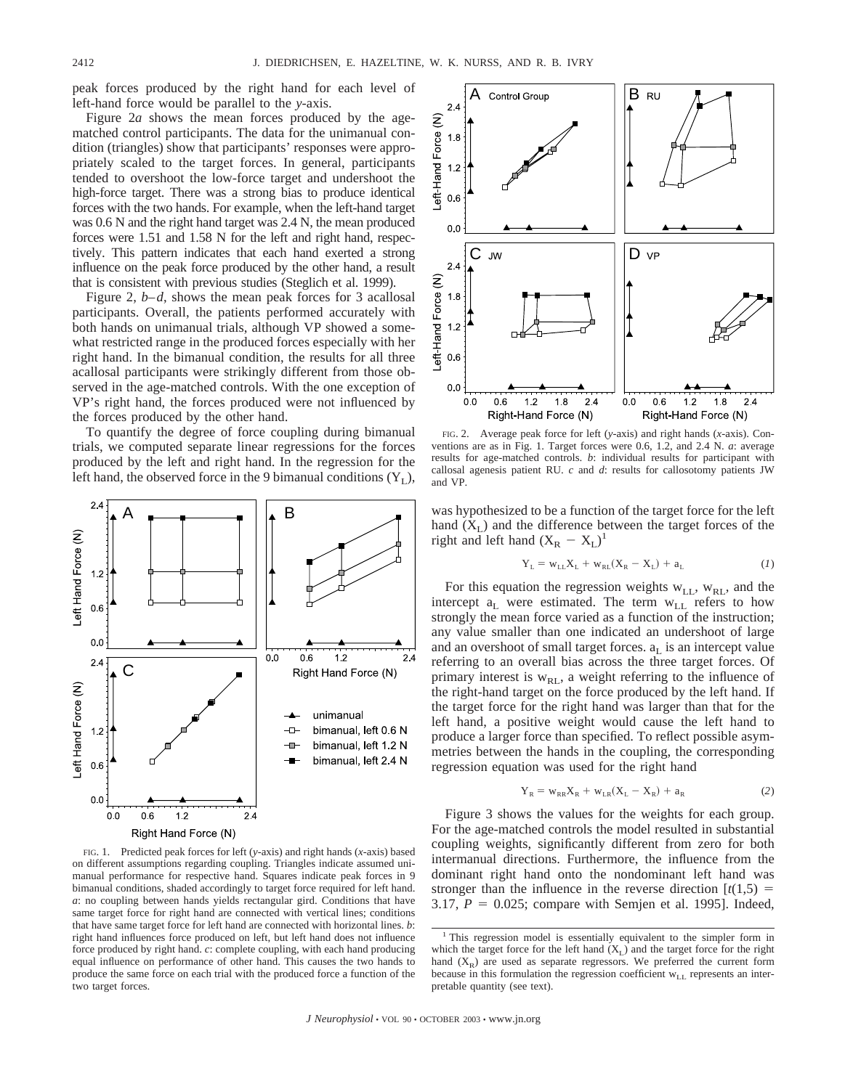peak forces produced by the right hand for each level of left-hand force would be parallel to the *y*-axis.

Figure 2*a* shows the mean forces produced by the agematched control participants. The data for the unimanual condition (triangles) show that participants' responses were appropriately scaled to the target forces. In general, participants tended to overshoot the low-force target and undershoot the high-force target. There was a strong bias to produce identical forces with the two hands. For example, when the left-hand target was 0.6 N and the right hand target was 2.4 N, the mean produced forces were 1.51 and 1.58 N for the left and right hand, respectively. This pattern indicates that each hand exerted a strong influence on the peak force produced by the other hand, a result that is consistent with previous studies (Steglich et al. 1999).

Figure 2, *b–d*, shows the mean peak forces for 3 acallosal participants. Overall, the patients performed accurately with both hands on unimanual trials, although VP showed a somewhat restricted range in the produced forces especially with her right hand. In the bimanual condition, the results for all three acallosal participants were strikingly different from those observed in the age-matched controls. With the one exception of VP's right hand, the forces produced were not influenced by the forces produced by the other hand.

To quantify the degree of force coupling during bimanual trials, we computed separate linear regressions for the forces produced by the left and right hand. In the regression for the left hand, the observed force in the 9 bimanual conditions  $(Y_L)$ ,



FIG. 1. Predicted peak forces for left (*y*-axis) and right hands (*x*-axis) based on different assumptions regarding coupling. Triangles indicate assumed unimanual performance for respective hand. Squares indicate peak forces in 9 bimanual conditions, shaded accordingly to target force required for left hand. *a*: no coupling between hands yields rectangular gird. Conditions that have same target force for right hand are connected with vertical lines; conditions that have same target force for left hand are connected with horizontal lines. *b*: right hand influences force produced on left, but left hand does not influence force produced by right hand. *c*: complete coupling, with each hand producing equal influence on performance of other hand. This causes the two hands to produce the same force on each trial with the produced force a function of the two target forces.



FIG. 2. Average peak force for left (*y*-axis) and right hands (*x*-axis). Conventions are as in Fig. 1. Target forces were 0.6, 1.2, and 2.4 N. *a*: average results for age-matched controls. *b*: individual results for participant with callosal agenesis patient RU. *c* and *d*: results for callosotomy patients JW and VP.

was hypothesized to be a function of the target force for the left hand  $(X_L)$  and the difference between the target forces of the right and left hand  $(X_R - X_L)^1$ 

$$
Y_{L} = w_{LL}X_{L} + w_{RL}(X_{R} - X_{L}) + a_{L}
$$
 (1)

For this equation the regression weights  $w_{LL}$ ,  $w_{RL}$ , and the intercept  $a_L$  were estimated. The term  $w_{LL}$  refers to how strongly the mean force varied as a function of the instruction; any value smaller than one indicated an undershoot of large and an overshoot of small target forces.  $a<sub>L</sub>$  is an intercept value referring to an overall bias across the three target forces. Of primary interest is  $w_{RL}$ , a weight referring to the influence of the right-hand target on the force produced by the left hand. If the target force for the right hand was larger than that for the left hand, a positive weight would cause the left hand to produce a larger force than specified. To reflect possible asymmetries between the hands in the coupling, the corresponding regression equation was used for the right hand

$$
Y_R = w_{RR} X_R + w_{LR} (X_L - X_R) + a_R
$$
 (2)

Figure 3 shows the values for the weights for each group. For the age-matched controls the model resulted in substantial coupling weights, significantly different from zero for both intermanual directions. Furthermore, the influence from the dominant right hand onto the nondominant left hand was stronger than the influence in the reverse direction  $[t(1,5)]$ 3.17,  $P = 0.025$ ; compare with Semjen et al. 1995]. Indeed,

<sup>&</sup>lt;sup>1</sup> This regression model is essentially equivalent to the simpler form in which the target force for the left hand  $(X_L)$  and the target force for the right hand  $(X_R)$  are used as separate regressors. We preferred the current form because in this formulation the regression coefficient  $w_{LL}$  represents an interpretable quantity (see text).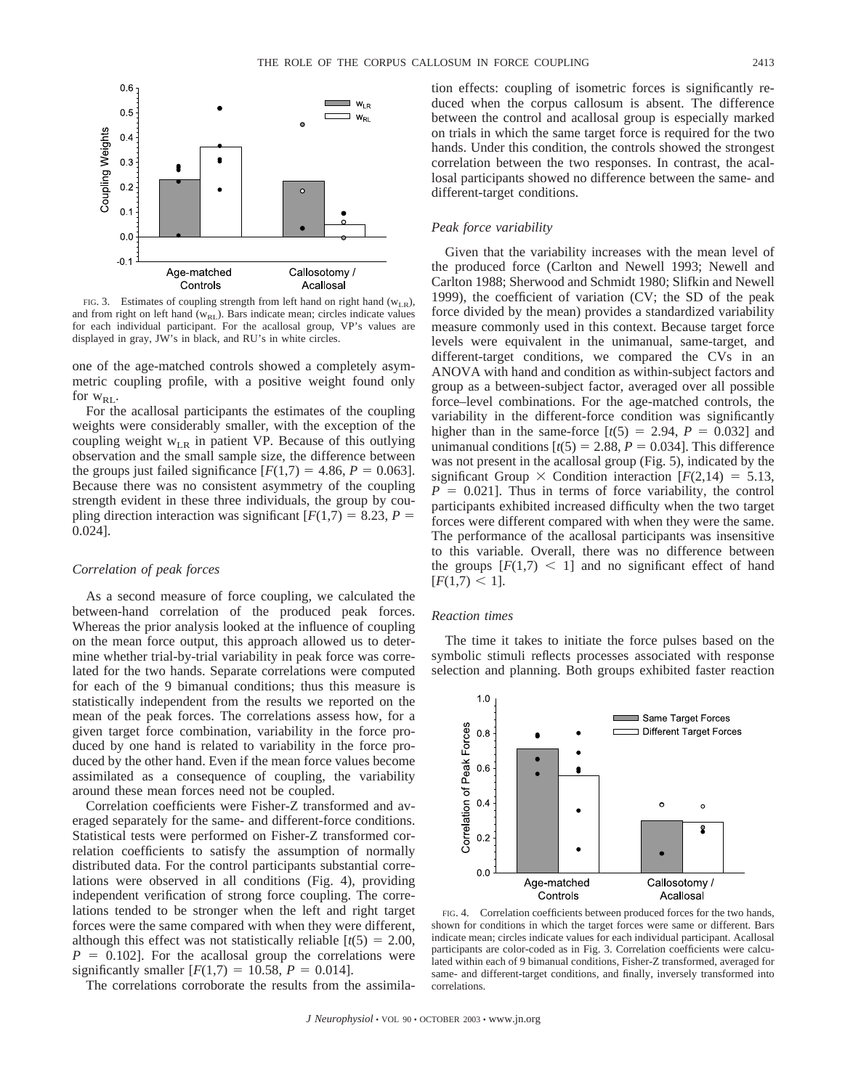

FIG. 3. Estimates of coupling strength from left hand on right hand  $(w_{LR})$ , and from right on left hand  $(w_{RL})$ . Bars indicate mean; circles indicate values for each individual participant. For the acallosal group, VP's values are displayed in gray, JW's in black, and RU's in white circles.

one of the age-matched controls showed a completely asymmetric coupling profile, with a positive weight found only for  $w_{\text{RI}}$ .

For the acallosal participants the estimates of the coupling weights were considerably smaller, with the exception of the coupling weight  $w_{LR}$  in patient VP. Because of this outlying observation and the small sample size, the difference between the groups just failed significance  $[F(1,7) = 4.86, P = 0.063]$ . Because there was no consistent asymmetry of the coupling strength evident in these three individuals, the group by coupling direction interaction was significant  $[F(1,7) = 8.23, P =$ 0.024].

#### *Correlation of peak forces*

As a second measure of force coupling, we calculated the between-hand correlation of the produced peak forces. Whereas the prior analysis looked at the influence of coupling on the mean force output, this approach allowed us to determine whether trial-by-trial variability in peak force was correlated for the two hands. Separate correlations were computed for each of the 9 bimanual conditions; thus this measure is statistically independent from the results we reported on the mean of the peak forces. The correlations assess how, for a given target force combination, variability in the force produced by one hand is related to variability in the force produced by the other hand. Even if the mean force values become assimilated as a consequence of coupling, the variability around these mean forces need not be coupled.

Correlation coefficients were Fisher-Z transformed and averaged separately for the same- and different-force conditions. Statistical tests were performed on Fisher-Z transformed correlation coefficients to satisfy the assumption of normally distributed data. For the control participants substantial correlations were observed in all conditions (Fig. 4), providing independent verification of strong force coupling. The correlations tended to be stronger when the left and right target forces were the same compared with when they were different, although this effect was not statistically reliable  $[t(5) = 2.00]$ ,  $P = 0.102$ . For the acallosal group the correlations were significantly smaller  $[F(1,7) = 10.58, P = 0.014]$ .

The correlations corroborate the results from the assimila-

tion effects: coupling of isometric forces is significantly reduced when the corpus callosum is absent. The difference between the control and acallosal group is especially marked on trials in which the same target force is required for the two hands. Under this condition, the controls showed the strongest correlation between the two responses. In contrast, the acallosal participants showed no difference between the same- and different-target conditions.

#### *Peak force variability*

Given that the variability increases with the mean level of the produced force (Carlton and Newell 1993; Newell and Carlton 1988; Sherwood and Schmidt 1980; Slifkin and Newell 1999), the coefficient of variation (CV; the SD of the peak force divided by the mean) provides a standardized variability measure commonly used in this context. Because target force levels were equivalent in the unimanual, same-target, and different-target conditions, we compared the CVs in an ANOVA with hand and condition as within-subject factors and group as a between-subject factor, averaged over all possible force–level combinations. For the age-matched controls, the variability in the different-force condition was significantly higher than in the same-force  $[t(5) = 2.94, P = 0.032]$  and unimanual conditions  $[t(5) = 2.88, P = 0.034]$ . This difference was not present in the acallosal group (Fig. 5), indicated by the significant Group  $\times$  Condition interaction [ $F(2,14) = 5.13$ ,  $P = 0.021$ . Thus in terms of force variability, the control participants exhibited increased difficulty when the two target forces were different compared with when they were the same. The performance of the acallosal participants was insensitive to this variable. Overall, there was no difference between the groups  $[F(1,7) < 1]$  and no significant effect of hand  $[F(1,7) < 1].$ 

#### *Reaction times*

The time it takes to initiate the force pulses based on the symbolic stimuli reflects processes associated with response selection and planning. Both groups exhibited faster reaction



FIG. 4. Correlation coefficients between produced forces for the two hands, shown for conditions in which the target forces were same or different. Bars indicate mean; circles indicate values for each individual participant. Acallosal participants are color-coded as in Fig. 3. Correlation coefficients were calculated within each of 9 bimanual conditions, Fisher-Z transformed, averaged for same- and different-target conditions, and finally, inversely transformed into correlations.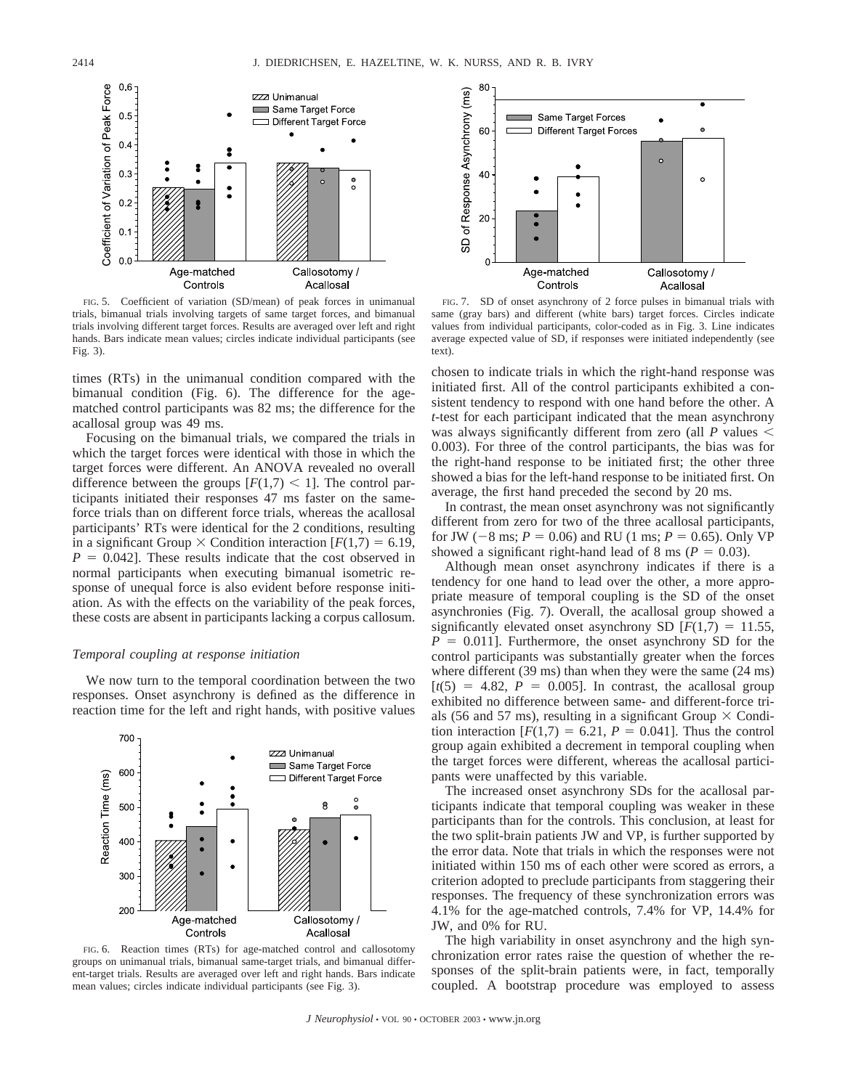

FIG. 5. Coefficient of variation (SD/mean) of peak forces in unimanual trials, bimanual trials involving targets of same target forces, and bimanual trials involving different target forces. Results are averaged over left and right hands. Bars indicate mean values; circles indicate individual participants (see Fig. 3).

times (RTs) in the unimanual condition compared with the bimanual condition (Fig. 6). The difference for the agematched control participants was 82 ms; the difference for the acallosal group was 49 ms.

Focusing on the bimanual trials, we compared the trials in which the target forces were identical with those in which the target forces were different. An ANOVA revealed no overall difference between the groups  $[F(1,7) \leq 1]$ . The control participants initiated their responses 47 ms faster on the sameforce trials than on different force trials, whereas the acallosal participants' RTs were identical for the 2 conditions, resulting in a significant Group  $\times$  Condition interaction  $[F(1,7) = 6.19]$ ,  $P = 0.042$ . These results indicate that the cost observed in normal participants when executing bimanual isometric response of unequal force is also evident before response initiation. As with the effects on the variability of the peak forces, these costs are absent in participants lacking a corpus callosum.

#### *Temporal coupling at response initiation*

We now turn to the temporal coordination between the two responses. Onset asynchrony is defined as the difference in reaction time for the left and right hands, with positive values



FIG. 6. Reaction times (RTs) for age-matched control and callosotomy groups on unimanual trials, bimanual same-target trials, and bimanual different-target trials. Results are averaged over left and right hands. Bars indicate mean values; circles indicate individual participants (see Fig. 3).



FIG. 7. SD of onset asynchrony of 2 force pulses in bimanual trials with same (gray bars) and different (white bars) target forces. Circles indicate values from individual participants, color-coded as in Fig. 3. Line indicates average expected value of SD, if responses were initiated independently (see text).

chosen to indicate trials in which the right-hand response was initiated first. All of the control participants exhibited a consistent tendency to respond with one hand before the other. A *t*-test for each participant indicated that the mean asynchrony was always significantly different from zero (all *P* values 0.003). For three of the control participants, the bias was for the right-hand response to be initiated first; the other three showed a bias for the left-hand response to be initiated first. On average, the first hand preceded the second by 20 ms.

In contrast, the mean onset asynchrony was not significantly different from zero for two of the three acallosal participants, for JW ( $-8$  ms;  $P = 0.06$ ) and RU (1 ms;  $P = 0.65$ ). Only VP showed a significant right-hand lead of 8 ms ( $P = 0.03$ ).

Although mean onset asynchrony indicates if there is a tendency for one hand to lead over the other, a more appropriate measure of temporal coupling is the SD of the onset asynchronies (Fig. 7). Overall, the acallosal group showed a significantly elevated onset asynchrony SD  $[F(1,7) = 11.55]$ ,  $P = 0.011$ . Furthermore, the onset asynchrony SD for the control participants was substantially greater when the forces where different (39 ms) than when they were the same (24 ms)  $[t(5) = 4.82, P = 0.005]$ . In contrast, the acallosal group exhibited no difference between same- and different-force trials (56 and 57 ms), resulting in a significant Group  $\times$  Condition interaction  $[F(1,7) = 6.21, P = 0.041]$ . Thus the control group again exhibited a decrement in temporal coupling when the target forces were different, whereas the acallosal participants were unaffected by this variable.

The increased onset asynchrony SDs for the acallosal participants indicate that temporal coupling was weaker in these participants than for the controls. This conclusion, at least for the two split-brain patients JW and VP, is further supported by the error data. Note that trials in which the responses were not initiated within 150 ms of each other were scored as errors, a criterion adopted to preclude participants from staggering their responses. The frequency of these synchronization errors was 4.1% for the age-matched controls, 7.4% for VP, 14.4% for JW, and 0% for RU.

The high variability in onset asynchrony and the high synchronization error rates raise the question of whether the responses of the split-brain patients were, in fact, temporally coupled. A bootstrap procedure was employed to assess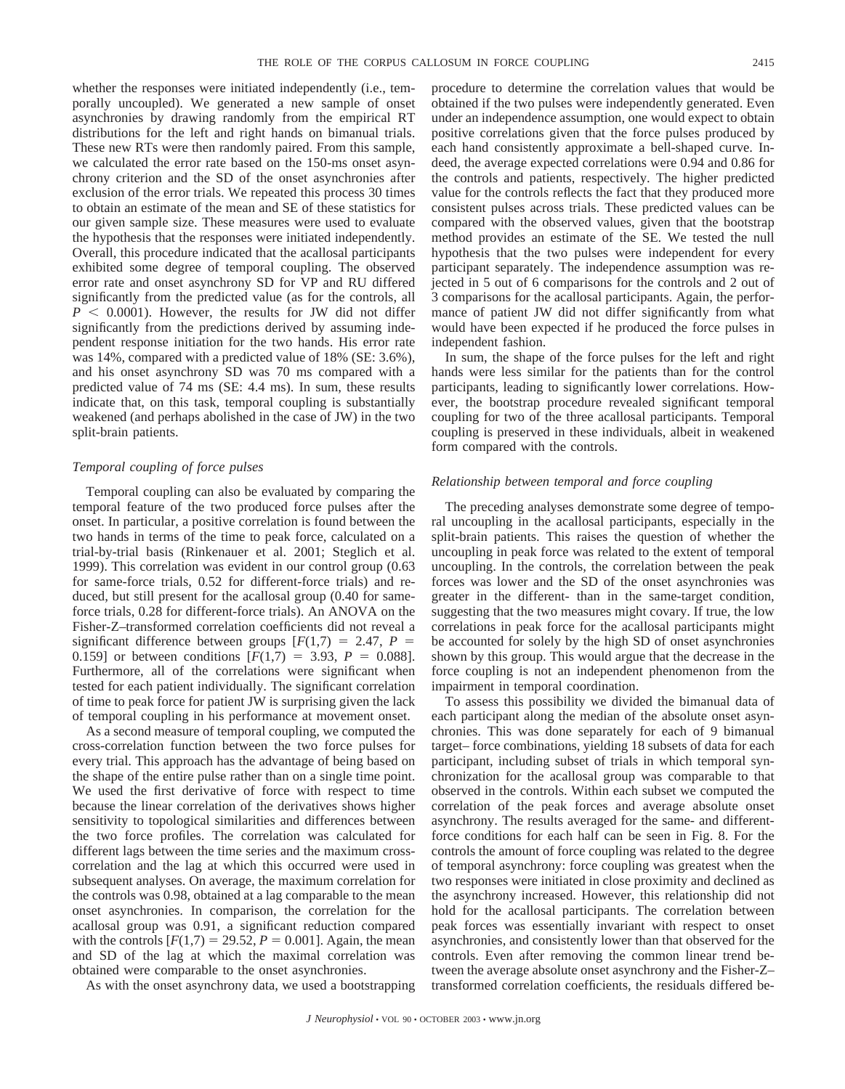whether the responses were initiated independently (i.e., temporally uncoupled). We generated a new sample of onset asynchronies by drawing randomly from the empirical RT distributions for the left and right hands on bimanual trials. These new RTs were then randomly paired. From this sample, we calculated the error rate based on the 150-ms onset asynchrony criterion and the SD of the onset asynchronies after exclusion of the error trials. We repeated this process 30 times to obtain an estimate of the mean and SE of these statistics for our given sample size. These measures were used to evaluate the hypothesis that the responses were initiated independently. Overall, this procedure indicated that the acallosal participants exhibited some degree of temporal coupling. The observed error rate and onset asynchrony SD for VP and RU differed significantly from the predicted value (as for the controls, all  $P \leq 0.0001$ ). However, the results for JW did not differ significantly from the predictions derived by assuming independent response initiation for the two hands. His error rate was 14%, compared with a predicted value of 18% (SE: 3.6%), and his onset asynchrony SD was 70 ms compared with a predicted value of 74 ms (SE: 4.4 ms). In sum, these results indicate that, on this task, temporal coupling is substantially

# split-brain patients.

## *Temporal coupling of force pulses*

Temporal coupling can also be evaluated by comparing the temporal feature of the two produced force pulses after the onset. In particular, a positive correlation is found between the two hands in terms of the time to peak force, calculated on a trial-by-trial basis (Rinkenauer et al. 2001; Steglich et al. 1999). This correlation was evident in our control group (0.63 for same-force trials, 0.52 for different-force trials) and reduced, but still present for the acallosal group (0.40 for sameforce trials, 0.28 for different-force trials). An ANOVA on the Fisher-Z–transformed correlation coefficients did not reveal a significant difference between groups  $[F(1,7) = 2.47, P =$ 0.159] or between conditions  $[F(1,7) = 3.93, P = 0.088]$ . Furthermore, all of the correlations were significant when tested for each patient individually. The significant correlation of time to peak force for patient JW is surprising given the lack of temporal coupling in his performance at movement onset.

weakened (and perhaps abolished in the case of JW) in the two

As a second measure of temporal coupling, we computed the cross-correlation function between the two force pulses for every trial. This approach has the advantage of being based on the shape of the entire pulse rather than on a single time point. We used the first derivative of force with respect to time because the linear correlation of the derivatives shows higher sensitivity to topological similarities and differences between the two force profiles. The correlation was calculated for different lags between the time series and the maximum crosscorrelation and the lag at which this occurred were used in subsequent analyses. On average, the maximum correlation for the controls was 0.98, obtained at a lag comparable to the mean onset asynchronies. In comparison, the correlation for the acallosal group was 0.91, a significant reduction compared with the controls  $[F(1,7) = 29.52, P = 0.001]$ . Again, the mean and SD of the lag at which the maximal correlation was obtained were comparable to the onset asynchronies.

As with the onset asynchrony data, we used a bootstrapping

procedure to determine the correlation values that would be obtained if the two pulses were independently generated. Even under an independence assumption, one would expect to obtain positive correlations given that the force pulses produced by each hand consistently approximate a bell-shaped curve. Indeed, the average expected correlations were 0.94 and 0.86 for the controls and patients, respectively. The higher predicted value for the controls reflects the fact that they produced more consistent pulses across trials. These predicted values can be compared with the observed values, given that the bootstrap method provides an estimate of the SE. We tested the null hypothesis that the two pulses were independent for every participant separately. The independence assumption was rejected in 5 out of 6 comparisons for the controls and 2 out of 3 comparisons for the acallosal participants. Again, the performance of patient JW did not differ significantly from what would have been expected if he produced the force pulses in independent fashion.

In sum, the shape of the force pulses for the left and right hands were less similar for the patients than for the control participants, leading to significantly lower correlations. However, the bootstrap procedure revealed significant temporal coupling for two of the three acallosal participants. Temporal coupling is preserved in these individuals, albeit in weakened form compared with the controls.

## *Relationship between temporal and force coupling*

The preceding analyses demonstrate some degree of temporal uncoupling in the acallosal participants, especially in the split-brain patients. This raises the question of whether the uncoupling in peak force was related to the extent of temporal uncoupling. In the controls, the correlation between the peak forces was lower and the SD of the onset asynchronies was greater in the different- than in the same-target condition, suggesting that the two measures might covary. If true, the low correlations in peak force for the acallosal participants might be accounted for solely by the high SD of onset asynchronies shown by this group. This would argue that the decrease in the force coupling is not an independent phenomenon from the impairment in temporal coordination.

To assess this possibility we divided the bimanual data of each participant along the median of the absolute onset asynchronies. This was done separately for each of 9 bimanual target– force combinations, yielding 18 subsets of data for each participant, including subset of trials in which temporal synchronization for the acallosal group was comparable to that observed in the controls. Within each subset we computed the correlation of the peak forces and average absolute onset asynchrony. The results averaged for the same- and differentforce conditions for each half can be seen in Fig. 8. For the controls the amount of force coupling was related to the degree of temporal asynchrony: force coupling was greatest when the two responses were initiated in close proximity and declined as the asynchrony increased. However, this relationship did not hold for the acallosal participants. The correlation between peak forces was essentially invariant with respect to onset asynchronies, and consistently lower than that observed for the controls. Even after removing the common linear trend between the average absolute onset asynchrony and the Fisher-Z– transformed correlation coefficients, the residuals differed be-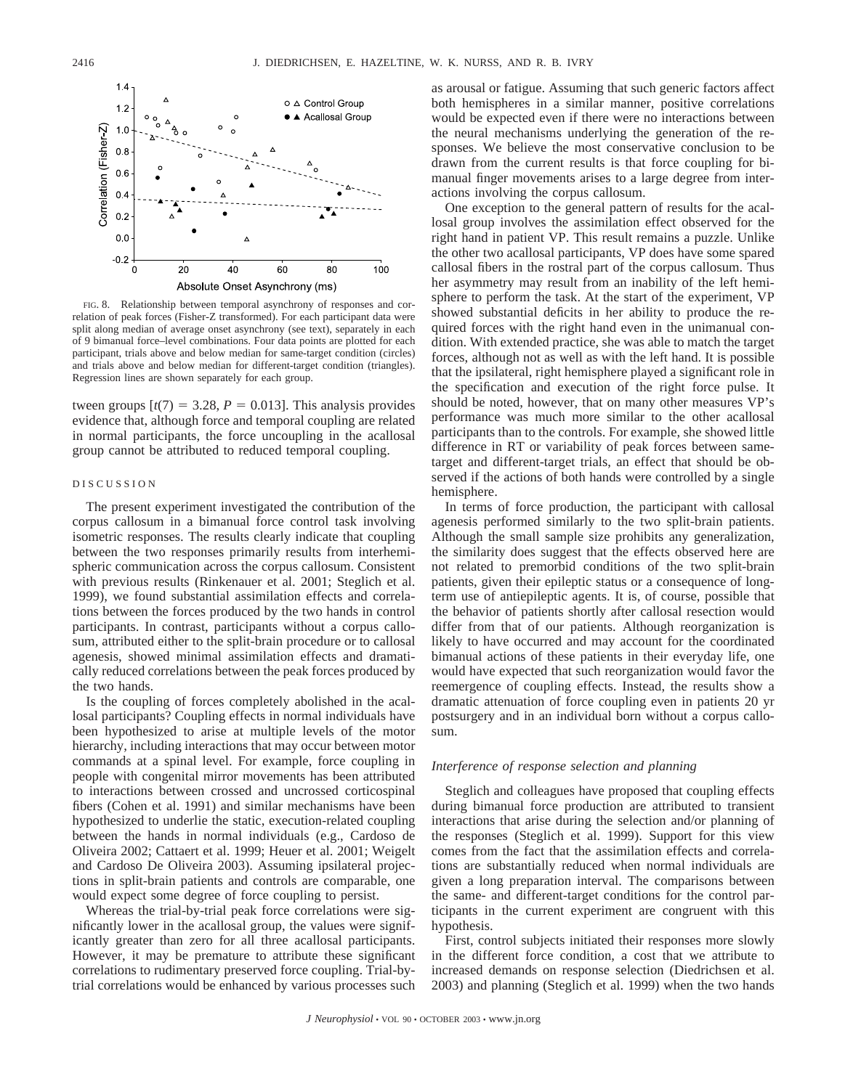

FIG. 8. Relationship between temporal asynchrony of responses and correlation of peak forces (Fisher-Z transformed). For each participant data were split along median of average onset asynchrony (see text), separately in each of 9 bimanual force–level combinations. Four data points are plotted for each participant, trials above and below median for same-target condition (circles) and trials above and below median for different-target condition (triangles). Regression lines are shown separately for each group.

tween groups  $[t(7) = 3.28, P = 0.013]$ . This analysis provides evidence that, although force and temporal coupling are related in normal participants, the force uncoupling in the acallosal group cannot be attributed to reduced temporal coupling.

#### DISCUSSION

The present experiment investigated the contribution of the corpus callosum in a bimanual force control task involving isometric responses. The results clearly indicate that coupling between the two responses primarily results from interhemispheric communication across the corpus callosum. Consistent with previous results (Rinkenauer et al. 2001; Steglich et al. 1999), we found substantial assimilation effects and correlations between the forces produced by the two hands in control participants. In contrast, participants without a corpus callosum, attributed either to the split-brain procedure or to callosal agenesis, showed minimal assimilation effects and dramatically reduced correlations between the peak forces produced by the two hands.

Is the coupling of forces completely abolished in the acallosal participants? Coupling effects in normal individuals have been hypothesized to arise at multiple levels of the motor hierarchy, including interactions that may occur between motor commands at a spinal level. For example, force coupling in people with congenital mirror movements has been attributed to interactions between crossed and uncrossed corticospinal fibers (Cohen et al. 1991) and similar mechanisms have been hypothesized to underlie the static, execution-related coupling between the hands in normal individuals (e.g., Cardoso de Oliveira 2002; Cattaert et al. 1999; Heuer et al. 2001; Weigelt and Cardoso De Oliveira 2003). Assuming ipsilateral projections in split-brain patients and controls are comparable, one would expect some degree of force coupling to persist.

Whereas the trial-by-trial peak force correlations were significantly lower in the acallosal group, the values were significantly greater than zero for all three acallosal participants. However, it may be premature to attribute these significant correlations to rudimentary preserved force coupling. Trial-bytrial correlations would be enhanced by various processes such as arousal or fatigue. Assuming that such generic factors affect both hemispheres in a similar manner, positive correlations would be expected even if there were no interactions between the neural mechanisms underlying the generation of the responses. We believe the most conservative conclusion to be drawn from the current results is that force coupling for bimanual finger movements arises to a large degree from interactions involving the corpus callosum.

One exception to the general pattern of results for the acallosal group involves the assimilation effect observed for the right hand in patient VP. This result remains a puzzle. Unlike the other two acallosal participants, VP does have some spared callosal fibers in the rostral part of the corpus callosum. Thus her asymmetry may result from an inability of the left hemisphere to perform the task. At the start of the experiment, VP showed substantial deficits in her ability to produce the required forces with the right hand even in the unimanual condition. With extended practice, she was able to match the target forces, although not as well as with the left hand. It is possible that the ipsilateral, right hemisphere played a significant role in the specification and execution of the right force pulse. It should be noted, however, that on many other measures VP's performance was much more similar to the other acallosal participants than to the controls. For example, she showed little difference in RT or variability of peak forces between sametarget and different-target trials, an effect that should be observed if the actions of both hands were controlled by a single hemisphere.

In terms of force production, the participant with callosal agenesis performed similarly to the two split-brain patients. Although the small sample size prohibits any generalization, the similarity does suggest that the effects observed here are not related to premorbid conditions of the two split-brain patients, given their epileptic status or a consequence of longterm use of antiepileptic agents. It is, of course, possible that the behavior of patients shortly after callosal resection would differ from that of our patients. Although reorganization is likely to have occurred and may account for the coordinated bimanual actions of these patients in their everyday life, one would have expected that such reorganization would favor the reemergence of coupling effects. Instead, the results show a dramatic attenuation of force coupling even in patients 20 yr postsurgery and in an individual born without a corpus callosum.

#### *Interference of response selection and planning*

Steglich and colleagues have proposed that coupling effects during bimanual force production are attributed to transient interactions that arise during the selection and/or planning of the responses (Steglich et al. 1999). Support for this view comes from the fact that the assimilation effects and correlations are substantially reduced when normal individuals are given a long preparation interval. The comparisons between the same- and different-target conditions for the control participants in the current experiment are congruent with this hypothesis.

First, control subjects initiated their responses more slowly in the different force condition, a cost that we attribute to increased demands on response selection (Diedrichsen et al. 2003) and planning (Steglich et al. 1999) when the two hands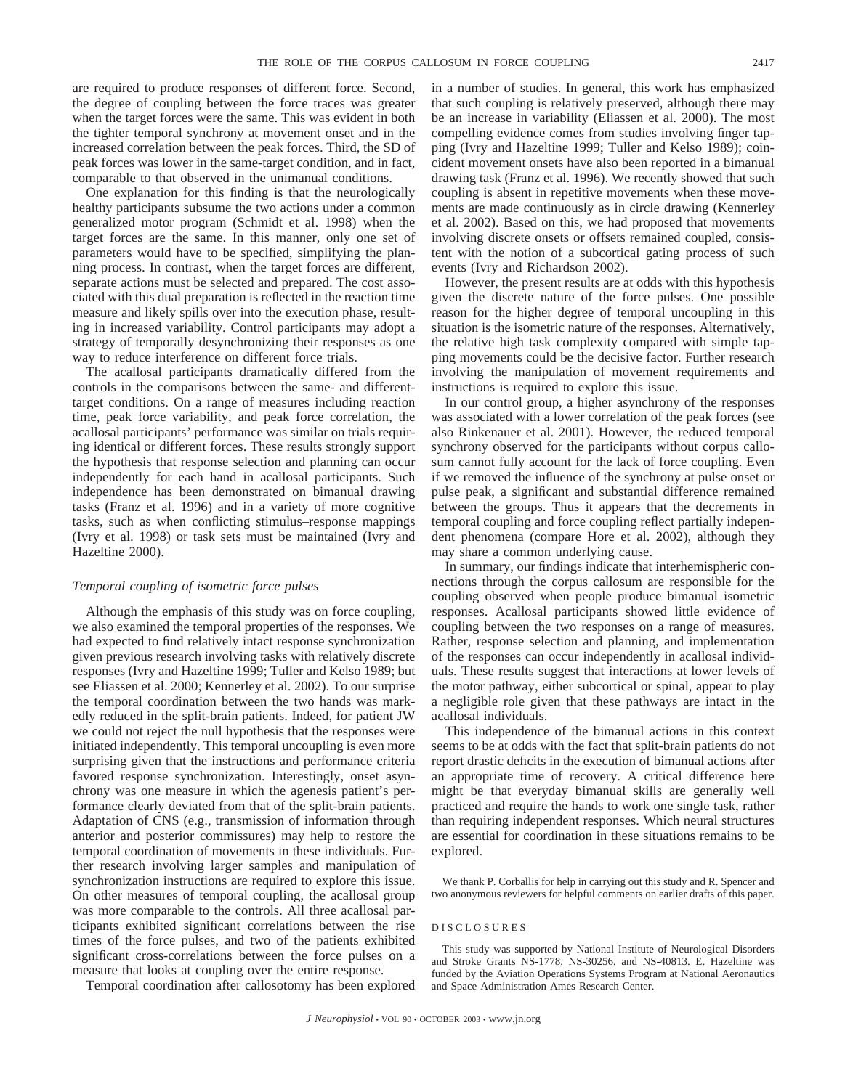are required to produce responses of different force. Second, the degree of coupling between the force traces was greater when the target forces were the same. This was evident in both the tighter temporal synchrony at movement onset and in the increased correlation between the peak forces. Third, the SD of peak forces was lower in the same-target condition, and in fact, comparable to that observed in the unimanual conditions.

One explanation for this finding is that the neurologically healthy participants subsume the two actions under a common generalized motor program (Schmidt et al. 1998) when the target forces are the same. In this manner, only one set of parameters would have to be specified, simplifying the planning process. In contrast, when the target forces are different, separate actions must be selected and prepared. The cost associated with this dual preparation is reflected in the reaction time measure and likely spills over into the execution phase, resulting in increased variability. Control participants may adopt a strategy of temporally desynchronizing their responses as one way to reduce interference on different force trials.

The acallosal participants dramatically differed from the controls in the comparisons between the same- and differenttarget conditions. On a range of measures including reaction time, peak force variability, and peak force correlation, the acallosal participants' performance was similar on trials requiring identical or different forces. These results strongly support the hypothesis that response selection and planning can occur independently for each hand in acallosal participants. Such independence has been demonstrated on bimanual drawing tasks (Franz et al. 1996) and in a variety of more cognitive tasks, such as when conflicting stimulus–response mappings (Ivry et al. 1998) or task sets must be maintained (Ivry and Hazeltine 2000).

## *Temporal coupling of isometric force pulses*

Although the emphasis of this study was on force coupling, we also examined the temporal properties of the responses. We had expected to find relatively intact response synchronization given previous research involving tasks with relatively discrete responses (Ivry and Hazeltine 1999; Tuller and Kelso 1989; but see Eliassen et al. 2000; Kennerley et al. 2002). To our surprise the temporal coordination between the two hands was markedly reduced in the split-brain patients. Indeed, for patient JW we could not reject the null hypothesis that the responses were initiated independently. This temporal uncoupling is even more surprising given that the instructions and performance criteria favored response synchronization. Interestingly, onset asynchrony was one measure in which the agenesis patient's performance clearly deviated from that of the split-brain patients. Adaptation of CNS (e.g., transmission of information through anterior and posterior commissures) may help to restore the temporal coordination of movements in these individuals. Further research involving larger samples and manipulation of synchronization instructions are required to explore this issue. On other measures of temporal coupling, the acallosal group was more comparable to the controls. All three acallosal participants exhibited significant correlations between the rise times of the force pulses, and two of the patients exhibited significant cross-correlations between the force pulses on a measure that looks at coupling over the entire response.

Temporal coordination after callosotomy has been explored

in a number of studies. In general, this work has emphasized that such coupling is relatively preserved, although there may be an increase in variability (Eliassen et al. 2000). The most compelling evidence comes from studies involving finger tapping (Ivry and Hazeltine 1999; Tuller and Kelso 1989); coincident movement onsets have also been reported in a bimanual drawing task (Franz et al. 1996). We recently showed that such coupling is absent in repetitive movements when these movements are made continuously as in circle drawing (Kennerley et al. 2002). Based on this, we had proposed that movements involving discrete onsets or offsets remained coupled, consistent with the notion of a subcortical gating process of such events (Ivry and Richardson 2002).

However, the present results are at odds with this hypothesis given the discrete nature of the force pulses. One possible reason for the higher degree of temporal uncoupling in this situation is the isometric nature of the responses. Alternatively, the relative high task complexity compared with simple tapping movements could be the decisive factor. Further research involving the manipulation of movement requirements and instructions is required to explore this issue.

In our control group, a higher asynchrony of the responses was associated with a lower correlation of the peak forces (see also Rinkenauer et al. 2001). However, the reduced temporal synchrony observed for the participants without corpus callosum cannot fully account for the lack of force coupling. Even if we removed the influence of the synchrony at pulse onset or pulse peak, a significant and substantial difference remained between the groups. Thus it appears that the decrements in temporal coupling and force coupling reflect partially independent phenomena (compare Hore et al. 2002), although they may share a common underlying cause.

In summary, our findings indicate that interhemispheric connections through the corpus callosum are responsible for the coupling observed when people produce bimanual isometric responses. Acallosal participants showed little evidence of coupling between the two responses on a range of measures. Rather, response selection and planning, and implementation of the responses can occur independently in acallosal individuals. These results suggest that interactions at lower levels of the motor pathway, either subcortical or spinal, appear to play a negligible role given that these pathways are intact in the acallosal individuals.

This independence of the bimanual actions in this context seems to be at odds with the fact that split-brain patients do not report drastic deficits in the execution of bimanual actions after an appropriate time of recovery. A critical difference here might be that everyday bimanual skills are generally well practiced and require the hands to work one single task, rather than requiring independent responses. Which neural structures are essential for coordination in these situations remains to be explored.

We thank P. Corballis for help in carrying out this study and R. Spencer and two anonymous reviewers for helpful comments on earlier drafts of this paper.

#### DISCLOSURES

This study was supported by National Institute of Neurological Disorders and Stroke Grants NS-1778, NS-30256, and NS-40813. E. Hazeltine was funded by the Aviation Operations Systems Program at National Aeronautics and Space Administration Ames Research Center.